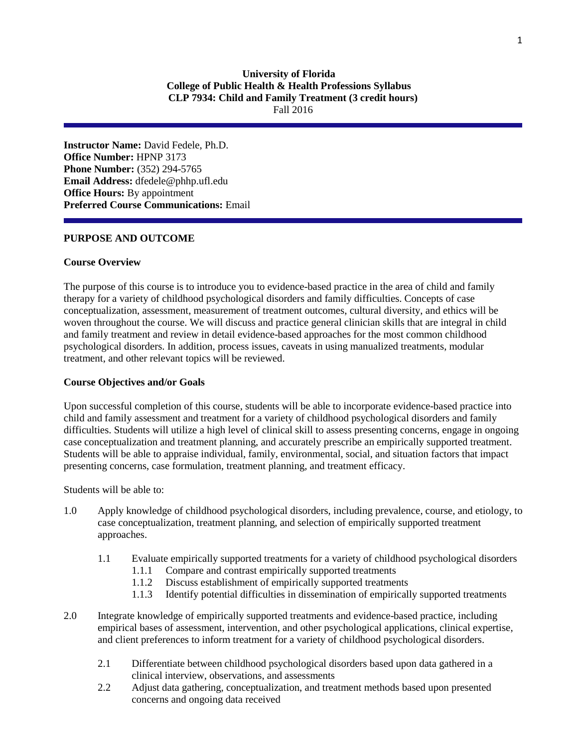# **University of Florida College of Public Health & Health Professions Syllabus CLP 7934: Child and Family Treatment (3 credit hours)** Fall 2016

**Instructor Name:** David Fedele, Ph.D. **Office Number:** HPNP 3173 **Phone Number:** (352) 294-5765 **Email Address:** dfedele@phhp.ufl.edu **Office Hours:** By appointment **Preferred Course Communications:** Email

#### **PURPOSE AND OUTCOME**

#### **Course Overview**

The purpose of this course is to introduce you to evidence-based practice in the area of child and family therapy for a variety of childhood psychological disorders and family difficulties. Concepts of case conceptualization, assessment, measurement of treatment outcomes, cultural diversity, and ethics will be woven throughout the course. We will discuss and practice general clinician skills that are integral in child and family treatment and review in detail evidence-based approaches for the most common childhood psychological disorders. In addition, process issues, caveats in using manualized treatments, modular treatment, and other relevant topics will be reviewed.

#### **Course Objectives and/or Goals**

Upon successful completion of this course, students will be able to incorporate evidence-based practice into child and family assessment and treatment for a variety of childhood psychological disorders and family difficulties. Students will utilize a high level of clinical skill to assess presenting concerns, engage in ongoing case conceptualization and treatment planning, and accurately prescribe an empirically supported treatment. Students will be able to appraise individual, family, environmental, social, and situation factors that impact presenting concerns, case formulation, treatment planning, and treatment efficacy.

Students will be able to:

- 1.0 Apply knowledge of childhood psychological disorders, including prevalence, course, and etiology, to case conceptualization, treatment planning, and selection of empirically supported treatment approaches.
	- 1.1 Evaluate empirically supported treatments for a variety of childhood psychological disorders
		- 1.1.1 Compare and contrast empirically supported treatments
		- 1.1.2 Discuss establishment of empirically supported treatments
		- 1.1.3 Identify potential difficulties in dissemination of empirically supported treatments
- 2.0 Integrate knowledge of empirically supported treatments and evidence-based practice, including empirical bases of assessment, intervention, and other psychological applications, clinical expertise, and client preferences to inform treatment for a variety of childhood psychological disorders.
	- 2.1 Differentiate between childhood psychological disorders based upon data gathered in a clinical interview, observations, and assessments
	- 2.2 Adjust data gathering, conceptualization, and treatment methods based upon presented concerns and ongoing data received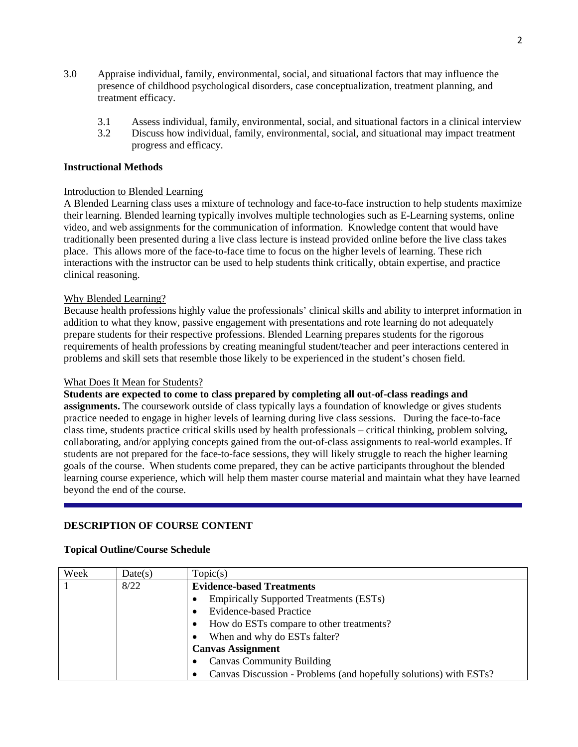- 3.0 Appraise individual, family, environmental, social, and situational factors that may influence the presence of childhood psychological disorders, case conceptualization, treatment planning, and treatment efficacy.
	- 3.1 Assess individual, family, environmental, social, and situational factors in a clinical interview
	- 3.2 Discuss how individual, family, environmental, social, and situational may impact treatment progress and efficacy.

#### **Instructional Methods**

#### Introduction to Blended Learning

A Blended Learning class uses a mixture of technology and face-to-face instruction to help students maximize their learning. Blended learning typically involves multiple technologies such as E-Learning systems, online video, and web assignments for the communication of information. Knowledge content that would have traditionally been presented during a live class lecture is instead provided online before the live class takes place. This allows more of the face-to-face time to focus on the higher levels of learning. These rich interactions with the instructor can be used to help students think critically, obtain expertise, and practice clinical reasoning.

#### Why Blended Learning?

Because health professions highly value the professionals' clinical skills and ability to interpret information in addition to what they know, passive engagement with presentations and rote learning do not adequately prepare students for their respective professions. Blended Learning prepares students for the rigorous requirements of health professions by creating meaningful student/teacher and peer interactions centered in problems and skill sets that resemble those likely to be experienced in the student's chosen field.

#### What Does It Mean for Students?

**Students are expected to come to class prepared by completing all out-of-class readings and** 

**assignments.** The coursework outside of class typically lays a foundation of knowledge or gives students practice needed to engage in higher levels of learning during live class sessions. During the face-to-face class time, students practice critical skills used by health professionals – critical thinking, problem solving, collaborating, and/or applying concepts gained from the out-of-class assignments to real-world examples. If students are not prepared for the face-to-face sessions, they will likely struggle to reach the higher learning goals of the course. When students come prepared, they can be active participants throughout the blended learning course experience, which will help them master course material and maintain what they have learned beyond the end of the course.

## **DESCRIPTION OF COURSE CONTENT**

# **Topical Outline/Course Schedule**

| Week | Date(s) | Topic(s)                                                          |  |  |  |  |  |  |  |  |
|------|---------|-------------------------------------------------------------------|--|--|--|--|--|--|--|--|
|      | 8/22    | <b>Evidence-based Treatments</b>                                  |  |  |  |  |  |  |  |  |
|      |         | <b>Empirically Supported Treatments (ESTs)</b>                    |  |  |  |  |  |  |  |  |
|      |         | <b>Evidence-based Practice</b>                                    |  |  |  |  |  |  |  |  |
|      |         | How do ESTs compare to other treatments?<br>٠                     |  |  |  |  |  |  |  |  |
|      |         | When and why do ESTs falter?                                      |  |  |  |  |  |  |  |  |
|      |         | <b>Canvas Assignment</b>                                          |  |  |  |  |  |  |  |  |
|      |         | <b>Canvas Community Building</b>                                  |  |  |  |  |  |  |  |  |
|      |         | Canvas Discussion - Problems (and hopefully solutions) with ESTs? |  |  |  |  |  |  |  |  |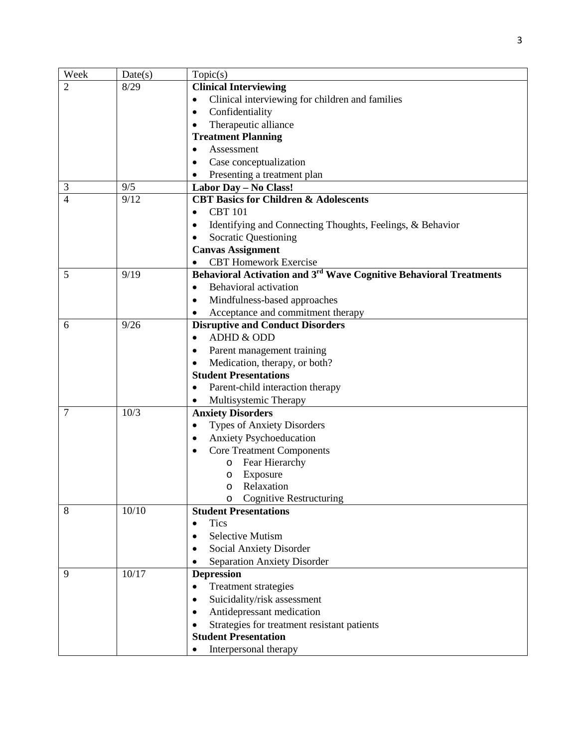| Week           | Date(s) | Topic(s)                                                                       |  |  |  |  |  |  |  |
|----------------|---------|--------------------------------------------------------------------------------|--|--|--|--|--|--|--|
| $\overline{2}$ | 8/29    | <b>Clinical Interviewing</b>                                                   |  |  |  |  |  |  |  |
|                |         | Clinical interviewing for children and families<br>٠                           |  |  |  |  |  |  |  |
|                |         | Confidentiality<br>٠                                                           |  |  |  |  |  |  |  |
|                |         | Therapeutic alliance<br>$\bullet$                                              |  |  |  |  |  |  |  |
|                |         | <b>Treatment Planning</b>                                                      |  |  |  |  |  |  |  |
|                |         | Assessment<br>$\bullet$                                                        |  |  |  |  |  |  |  |
|                |         | Case conceptualization<br>$\bullet$                                            |  |  |  |  |  |  |  |
|                |         | Presenting a treatment plan                                                    |  |  |  |  |  |  |  |
| 3              | 9/5     | Labor Day - No Class!                                                          |  |  |  |  |  |  |  |
| 4              | 9/12    | <b>CBT Basics for Children &amp; Adolescents</b>                               |  |  |  |  |  |  |  |
|                |         | <b>CBT</b> 101                                                                 |  |  |  |  |  |  |  |
|                |         | Identifying and Connecting Thoughts, Feelings, & Behavior<br>٠                 |  |  |  |  |  |  |  |
|                |         | <b>Socratic Questioning</b><br>$\bullet$                                       |  |  |  |  |  |  |  |
|                |         | <b>Canvas Assignment</b>                                                       |  |  |  |  |  |  |  |
|                |         | <b>CBT</b> Homework Exercise                                                   |  |  |  |  |  |  |  |
| 5              | 9/19    | Behavioral Activation and 3 <sup>rd</sup> Wave Cognitive Behavioral Treatments |  |  |  |  |  |  |  |
|                |         | Behavioral activation<br>$\bullet$                                             |  |  |  |  |  |  |  |
|                |         | Mindfulness-based approaches<br>$\bullet$                                      |  |  |  |  |  |  |  |
|                |         | Acceptance and commitment therapy                                              |  |  |  |  |  |  |  |
| 6              | 9/26    | <b>Disruptive and Conduct Disorders</b>                                        |  |  |  |  |  |  |  |
|                |         | ADHD & ODD<br>$\bullet$                                                        |  |  |  |  |  |  |  |
|                |         | Parent management training<br>$\bullet$                                        |  |  |  |  |  |  |  |
|                |         | Medication, therapy, or both?<br>$\bullet$                                     |  |  |  |  |  |  |  |
|                |         | <b>Student Presentations</b>                                                   |  |  |  |  |  |  |  |
|                |         | Parent-child interaction therapy                                               |  |  |  |  |  |  |  |
|                |         | Multisystemic Therapy                                                          |  |  |  |  |  |  |  |
| 7              | 10/3    | <b>Anxiety Disorders</b>                                                       |  |  |  |  |  |  |  |
|                |         | <b>Types of Anxiety Disorders</b><br>$\bullet$                                 |  |  |  |  |  |  |  |
|                |         | <b>Anxiety Psychoeducation</b><br>٠                                            |  |  |  |  |  |  |  |
|                |         | <b>Core Treatment Components</b>                                               |  |  |  |  |  |  |  |
|                |         | Fear Hierarchy<br>O                                                            |  |  |  |  |  |  |  |
|                |         | Exposure<br>O                                                                  |  |  |  |  |  |  |  |
|                |         | Relaxation<br>O                                                                |  |  |  |  |  |  |  |
|                |         | <b>Cognitive Restructuring</b>                                                 |  |  |  |  |  |  |  |
| 8              | 10/10   | <b>Student Presentations</b>                                                   |  |  |  |  |  |  |  |
|                |         | <b>Tics</b>                                                                    |  |  |  |  |  |  |  |
|                |         | <b>Selective Mutism</b><br>$\bullet$                                           |  |  |  |  |  |  |  |
|                |         | Social Anxiety Disorder                                                        |  |  |  |  |  |  |  |
|                |         | <b>Separation Anxiety Disorder</b>                                             |  |  |  |  |  |  |  |
| 9              | 10/17   | <b>Depression</b>                                                              |  |  |  |  |  |  |  |
|                |         | Treatment strategies                                                           |  |  |  |  |  |  |  |
|                |         | Suicidality/risk assessment<br>$\bullet$                                       |  |  |  |  |  |  |  |
|                |         | Antidepressant medication<br>٠                                                 |  |  |  |  |  |  |  |
|                |         | Strategies for treatment resistant patients                                    |  |  |  |  |  |  |  |
|                |         | <b>Student Presentation</b>                                                    |  |  |  |  |  |  |  |
|                |         | Interpersonal therapy                                                          |  |  |  |  |  |  |  |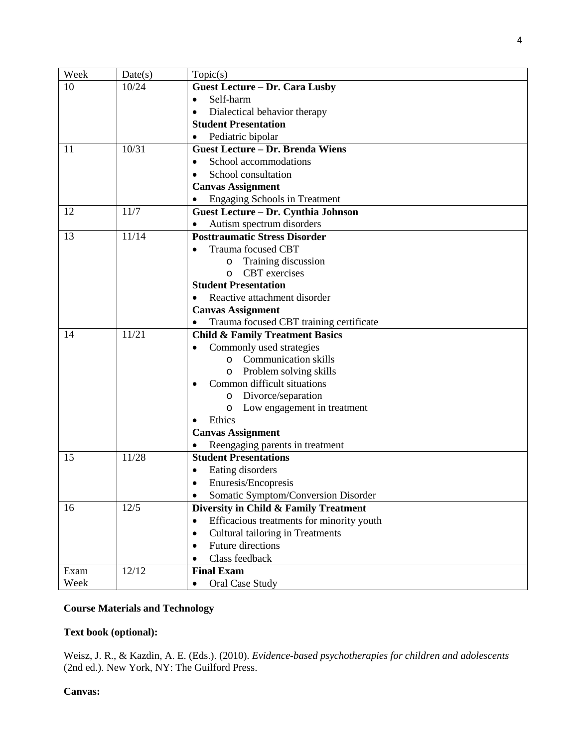| Week | Date(s) | Topic(s)                                               |  |  |  |  |  |  |
|------|---------|--------------------------------------------------------|--|--|--|--|--|--|
| 10   | 10/24   | <b>Guest Lecture - Dr. Cara Lusby</b>                  |  |  |  |  |  |  |
|      |         | Self-harm<br>$\bullet$                                 |  |  |  |  |  |  |
|      |         | Dialectical behavior therapy<br>$\bullet$              |  |  |  |  |  |  |
|      |         | <b>Student Presentation</b>                            |  |  |  |  |  |  |
|      |         | Pediatric bipolar                                      |  |  |  |  |  |  |
| 11   | 10/31   | <b>Guest Lecture - Dr. Brenda Wiens</b>                |  |  |  |  |  |  |
|      |         | School accommodations<br>$\bullet$                     |  |  |  |  |  |  |
|      |         | School consultation<br>$\bullet$                       |  |  |  |  |  |  |
|      |         | <b>Canvas Assignment</b>                               |  |  |  |  |  |  |
|      |         | <b>Engaging Schools in Treatment</b>                   |  |  |  |  |  |  |
| 12   | 11/7    | Guest Lecture - Dr. Cynthia Johnson                    |  |  |  |  |  |  |
|      |         | Autism spectrum disorders                              |  |  |  |  |  |  |
| 13   | 11/14   | <b>Posttraumatic Stress Disorder</b>                   |  |  |  |  |  |  |
|      |         | Trauma focused CBT                                     |  |  |  |  |  |  |
|      |         | Training discussion<br>O                               |  |  |  |  |  |  |
|      |         | <b>CBT</b> exercises<br>$\circ$                        |  |  |  |  |  |  |
|      |         | <b>Student Presentation</b>                            |  |  |  |  |  |  |
|      |         | Reactive attachment disorder<br>$\bullet$              |  |  |  |  |  |  |
|      |         | <b>Canvas Assignment</b>                               |  |  |  |  |  |  |
|      |         | Trauma focused CBT training certificate                |  |  |  |  |  |  |
| 14   | 11/21   | <b>Child &amp; Family Treatment Basics</b>             |  |  |  |  |  |  |
|      |         | Commonly used strategies                               |  |  |  |  |  |  |
|      |         | <b>Communication skills</b><br>$\circ$                 |  |  |  |  |  |  |
|      |         | Problem solving skills<br>O                            |  |  |  |  |  |  |
|      |         | Common difficult situations                            |  |  |  |  |  |  |
|      |         | Divorce/separation<br>O<br>Low engagement in treatment |  |  |  |  |  |  |
|      |         | O<br>Ethics                                            |  |  |  |  |  |  |
|      |         | <b>Canvas Assignment</b>                               |  |  |  |  |  |  |
|      |         | Reengaging parents in treatment                        |  |  |  |  |  |  |
| 15   | 11/28   | <b>Student Presentations</b>                           |  |  |  |  |  |  |
|      |         | Eating disorders                                       |  |  |  |  |  |  |
|      |         | Enuresis/Encopresis                                    |  |  |  |  |  |  |
|      |         | Somatic Symptom/Conversion Disorder                    |  |  |  |  |  |  |
| 16   | 12/5    | Diversity in Child & Family Treatment                  |  |  |  |  |  |  |
|      |         | Efficacious treatments for minority youth<br>$\bullet$ |  |  |  |  |  |  |
|      |         | Cultural tailoring in Treatments<br>$\bullet$          |  |  |  |  |  |  |
|      |         | <b>Future directions</b><br>$\bullet$                  |  |  |  |  |  |  |
|      |         | Class feedback<br>$\bullet$                            |  |  |  |  |  |  |
| Exam | 12/12   | <b>Final Exam</b>                                      |  |  |  |  |  |  |
| Week |         | Oral Case Study                                        |  |  |  |  |  |  |
|      |         |                                                        |  |  |  |  |  |  |

# **Course Materials and Technology**

# **Text book (optional):**

Weisz, J. R., & Kazdin, A. E. (Eds.). (2010). *Evidence-based psychotherapies for children and adolescents*  (2nd ed.). New York, NY: The Guilford Press.

# **Canvas:**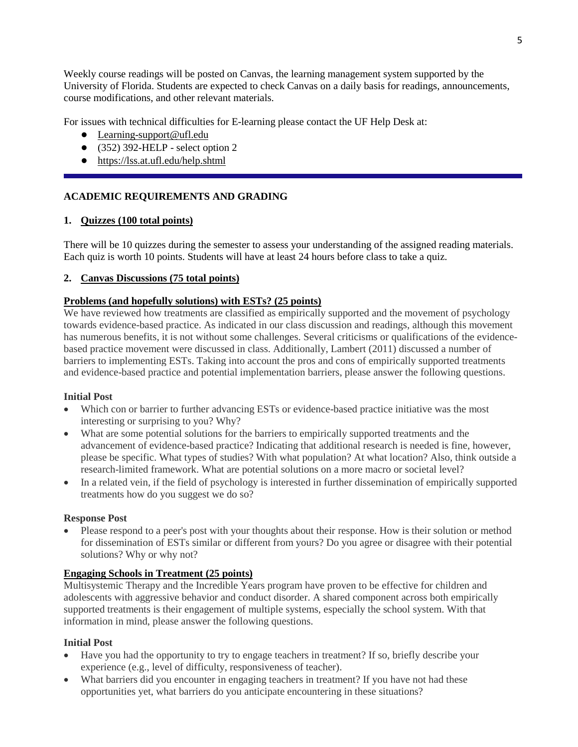Weekly course readings will be posted on Canvas, the learning management system supported by the University of Florida. Students are expected to check Canvas on a daily basis for readings, announcements, course modifications, and other relevant materials.

For issues with technical difficulties for E-learning please contact the UF Help Desk at:

- Learning-support@ufl.edu
- $\bullet$  (352) 392-HELP select option 2
- <https://lss.at.ufl.edu/help.shtml>

# **ACADEMIC REQUIREMENTS AND GRADING**

# **1. Quizzes (100 total points)**

There will be 10 quizzes during the semester to assess your understanding of the assigned reading materials. Each quiz is worth 10 points. Students will have at least 24 hours before class to take a quiz.

# **2. Canvas Discussions (75 total points)**

# **Problems (and hopefully solutions) with ESTs? (25 points)**

We have reviewed how treatments are classified as empirically supported and the movement of psychology towards evidence-based practice. As indicated in our class discussion and readings, although this movement has numerous benefits, it is not without some challenges. Several criticisms or qualifications of the evidencebased practice movement were discussed in class. Additionally, Lambert (2011) discussed a number of barriers to implementing ESTs. Taking into account the pros and cons of empirically supported treatments and evidence-based practice and potential implementation barriers, please answer the following questions.

## **Initial Post**

- Which con or barrier to further advancing ESTs or evidence-based practice initiative was the most interesting or surprising to you? Why?
- What are some potential solutions for the barriers to empirically supported treatments and the advancement of evidence-based practice? Indicating that additional research is needed is fine, however, please be specific. What types of studies? With what population? At what location? Also, think outside a research-limited framework. What are potential solutions on a more macro or societal level?
- In a related vein, if the field of psychology is interested in further dissemination of empirically supported treatments how do you suggest we do so?

## **Response Post**

• Please respond to a peer's post with your thoughts about their response. How is their solution or method for dissemination of ESTs similar or different from yours? Do you agree or disagree with their potential solutions? Why or why not?

## **Engaging Schools in Treatment (25 points)**

Multisystemic Therapy and the Incredible Years program have proven to be effective for children and adolescents with aggressive behavior and conduct disorder. A shared component across both empirically supported treatments is their engagement of multiple systems, especially the school system. With that information in mind, please answer the following questions.

## **Initial Post**

- Have you had the opportunity to try to engage teachers in treatment? If so, briefly describe your experience (e.g., level of difficulty, responsiveness of teacher).
- What barriers did you encounter in engaging teachers in treatment? If you have not had these opportunities yet, what barriers do you anticipate encountering in these situations?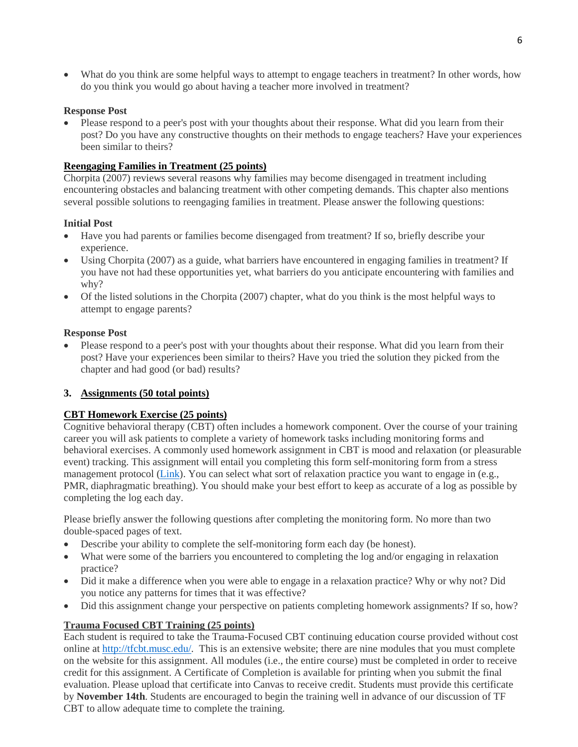• What do you think are some helpful ways to attempt to engage teachers in treatment? In other words, how do you think you would go about having a teacher more involved in treatment?

# **Response Post**

• Please respond to a peer's post with your thoughts about their response. What did you learn from their post? Do you have any constructive thoughts on their methods to engage teachers? Have your experiences been similar to theirs?

# **Reengaging Families in Treatment (25 points)**

Chorpita (2007) reviews several reasons why families may become disengaged in treatment including encountering obstacles and balancing treatment with other competing demands. This chapter also mentions several possible solutions to reengaging families in treatment. Please answer the following questions:

# **Initial Post**

- Have you had parents or families become disengaged from treatment? If so, briefly describe your experience.
- Using Chorpita (2007) as a guide, what barriers have encountered in engaging families in treatment? If you have not had these opportunities yet, what barriers do you anticipate encountering with families and why?
- Of the listed solutions in the Chorpita (2007) chapter, what do you think is the most helpful ways to attempt to engage parents?

# **Response Post**

• Please respond to a peer's post with your thoughts about their response. What did you learn from their post? Have your experiences been similar to theirs? Have you tried the solution they picked from the chapter and had good (or bad) results?

# **3. Assignments (50 total points)**

# **CBT Homework Exercise (25 points)**

Cognitive behavioral therapy (CBT) often includes a homework component. Over the course of your training career you will ask patients to complete a variety of homework tasks including monitoring forms and behavioral exercises. A commonly used homework assignment in CBT is mood and relaxation (or pleasurable event) tracking. This assignment will entail you completing this form self-monitoring form from a stress management protocol [\(Link\)](http://global.oup.com/us/companion.websites/fdscontent/uscompanion/us/pdf/treatments/Daily_Self_Monitoring_Sheet.pdf). You can select what sort of relaxation practice you want to engage in (e.g., PMR, diaphragmatic breathing). You should make your best effort to keep as accurate of a log as possible by completing the log each day.

Please briefly answer the following questions after completing the monitoring form. No more than two double-spaced pages of text.

- Describe your ability to complete the self-monitoring form each day (be honest).
- What were some of the barriers you encountered to completing the log and/or engaging in relaxation practice?
- Did it make a difference when you were able to engage in a relaxation practice? Why or why not? Did you notice any patterns for times that it was effective?
- Did this assignment change your perspective on patients completing homework assignments? If so, how?

# **Trauma Focused CBT Training (25 points)**

Each student is required to take the Trauma-Focused CBT continuing education course provided without cost online at [http://tfcbt.musc.edu/.](http://tfcbt.musc.edu/) This is an extensive website; there are nine modules that you must complete on the website for this assignment. All modules (i.e., the entire course) must be completed in order to receive credit for this assignment. A Certificate of Completion is available for printing when you submit the final evaluation. Please upload that certificate into Canvas to receive credit. Students must provide this certificate by **November 14th**. Students are encouraged to begin the training well in advance of our discussion of TF CBT to allow adequate time to complete the training.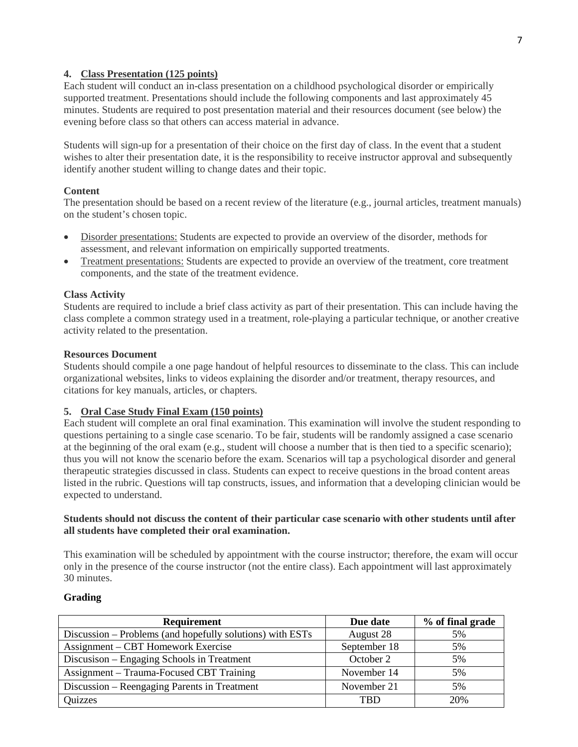# **4. Class Presentation (125 points)**

Each student will conduct an in-class presentation on a childhood psychological disorder or empirically supported treatment. Presentations should include the following components and last approximately 45 minutes. Students are required to post presentation material and their resources document (see below) the evening before class so that others can access material in advance.

Students will sign-up for a presentation of their choice on the first day of class. In the event that a student wishes to alter their presentation date, it is the responsibility to receive instructor approval and subsequently identify another student willing to change dates and their topic.

# **Content**

The presentation should be based on a recent review of the literature (e.g., journal articles, treatment manuals) on the student's chosen topic.

- Disorder presentations: Students are expected to provide an overview of the disorder, methods for assessment, and relevant information on empirically supported treatments.
- Treatment presentations: Students are expected to provide an overview of the treatment, core treatment components, and the state of the treatment evidence.

# **Class Activity**

Students are required to include a brief class activity as part of their presentation. This can include having the class complete a common strategy used in a treatment, role-playing a particular technique, or another creative activity related to the presentation.

## **Resources Document**

Students should compile a one page handout of helpful resources to disseminate to the class. This can include organizational websites, links to videos explaining the disorder and/or treatment, therapy resources, and citations for key manuals, articles, or chapters.

# **5. Oral Case Study Final Exam (150 points)**

Each student will complete an oral final examination. This examination will involve the student responding to questions pertaining to a single case scenario. To be fair, students will be randomly assigned a case scenario at the beginning of the oral exam (e.g., student will choose a number that is then tied to a specific scenario); thus you will not know the scenario before the exam. Scenarios will tap a psychological disorder and general therapeutic strategies discussed in class. Students can expect to receive questions in the broad content areas listed in the rubric. Questions will tap constructs, issues, and information that a developing clinician would be expected to understand.

## **Students should not discuss the content of their particular case scenario with other students until after all students have completed their oral examination.**

This examination will be scheduled by appointment with the course instructor; therefore, the exam will occur only in the presence of the course instructor (not the entire class). Each appointment will last approximately 30 minutes.

## **Grading**

| <b>Requirement</b>                                        | Due date     | % of final grade |
|-----------------------------------------------------------|--------------|------------------|
| Discussion – Problems (and hopefully solutions) with ESTs | August 28    | 5%               |
| Assignment – CBT Homework Exercise                        | September 18 | 5%               |
| Discusison - Engaging Schools in Treatment                | October 2    | 5%               |
| Assignment – Trauma-Focused CBT Training                  | November 14  | 5%               |
| Discussion – Reengaging Parents in Treatment              | November 21  | 5%               |
| Quizzes                                                   | TBD          | 20%              |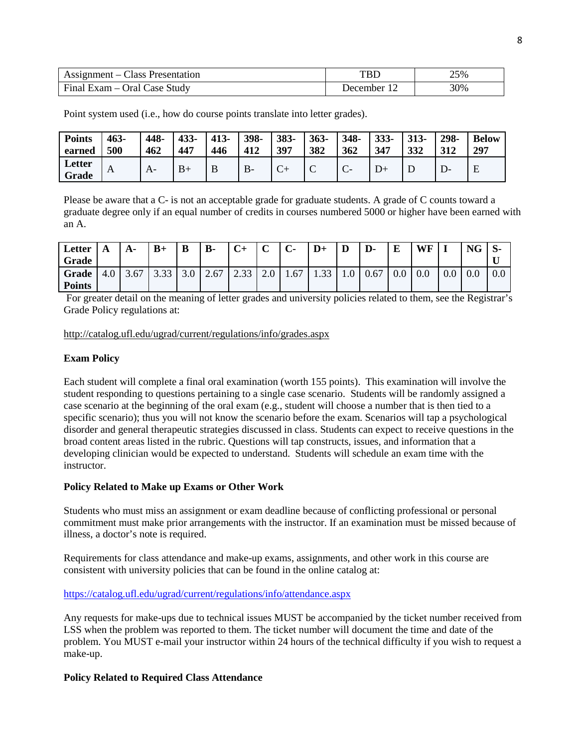| Assignment – Class Presentation |                  | 25% |
|---------------------------------|------------------|-----|
| Final Exam – Oral Case Study    | <b>J</b> ecember | 30% |

**Points earned 463- 500 448- 462 433- 447 413- 446 398- 412 383- 397 363- 382 348- 362 333- 347 313- 332 298- 312 Below 297 Letter Grade**  $\begin{bmatrix} A \\ \end{bmatrix}$   $\begin{bmatrix} A- \\ \end{bmatrix}$   $\begin{bmatrix} B+ \\ \end{bmatrix}$   $\begin{bmatrix} B \\ \end{bmatrix}$   $\begin{bmatrix} B- \\ \end{bmatrix}$   $\begin{bmatrix} C+ \\ \end{bmatrix}$   $\begin{bmatrix} C- \\ \end{bmatrix}$   $\begin{bmatrix} D+ \\ \end{bmatrix}$   $\begin{bmatrix} D \\ \end{bmatrix}$   $\begin{bmatrix} D- \\ \end{bmatrix}$   $\begin{bmatrix} E \\ \end{bmatrix}$ 

Point system used (i.e., how do course points translate into letter grades).

Please be aware that a C- is not an acceptable grade for graduate students. A grade of C counts toward a graduate degree only if an equal number of credits in courses numbered 5000 or higher have been earned with an A.

| Letter<br>Grade        |     | $A-$ | $B+$ | B   | <b>B-</b> | $C+$ | $\sqrt{ }$<br>֊ | $\mathbf{C}$ | $D+$       | D                  | D-   | E         | <b>WF</b> |         | <b>NG</b> | .১-<br>TT. |
|------------------------|-----|------|------|-----|-----------|------|-----------------|--------------|------------|--------------------|------|-----------|-----------|---------|-----------|------------|
| Grade<br><b>Points</b> | 4.0 | 3.67 | J.JJ | J.V | 2.67      | 2.33 | $\sim$ $\sim$   | 1.67         | 33<br>1.JJ | $1.0$ <sup>T</sup> | 0.67 | $\rm 0.0$ | 0.0       | $0.0\,$ | 0.0       | $0.0\,$    |

For greater detail on the meaning of letter grades and university policies related to them, see the Registrar's Grade Policy regulations at:

#### <http://catalog.ufl.edu/ugrad/current/regulations/info/grades.aspx>

## **Exam Policy**

Each student will complete a final oral examination (worth 155 points). This examination will involve the student responding to questions pertaining to a single case scenario. Students will be randomly assigned a case scenario at the beginning of the oral exam (e.g., student will choose a number that is then tied to a specific scenario); thus you will not know the scenario before the exam. Scenarios will tap a psychological disorder and general therapeutic strategies discussed in class. Students can expect to receive questions in the broad content areas listed in the rubric. Questions will tap constructs, issues, and information that a developing clinician would be expected to understand. Students will schedule an exam time with the instructor.

#### **Policy Related to Make up Exams or Other Work**

Students who must miss an assignment or exam deadline because of conflicting professional or personal commitment must make prior arrangements with the instructor. If an examination must be missed because of illness, a doctor's note is required.

Requirements for class attendance and make-up exams, assignments, and other work in this course are consistent with university policies that can be found in the online catalog at:

#### <https://catalog.ufl.edu/ugrad/current/regulations/info/attendance.aspx>

Any requests for make-ups due to technical issues MUST be accompanied by the ticket number received from LSS when the problem was reported to them. The ticket number will document the time and date of the problem. You MUST e-mail your instructor within 24 hours of the technical difficulty if you wish to request a make-up.

## **Policy Related to Required Class Attendance**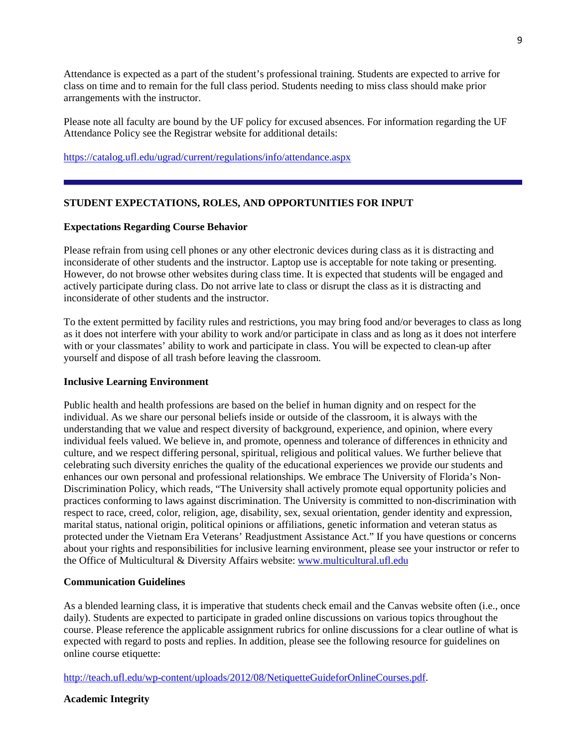Attendance is expected as a part of the student's professional training. Students are expected to arrive for class on time and to remain for the full class period. Students needing to miss class should make prior arrangements with the instructor.

Please note all faculty are bound by the UF policy for excused absences. For information regarding the UF Attendance Policy see the Registrar website for additional details:

<https://catalog.ufl.edu/ugrad/current/regulations/info/attendance.aspx>

## **STUDENT EXPECTATIONS, ROLES, AND OPPORTUNITIES FOR INPUT**

#### **Expectations Regarding Course Behavior**

Please refrain from using cell phones or any other electronic devices during class as it is distracting and inconsiderate of other students and the instructor. Laptop use is acceptable for note taking or presenting. However, do not browse other websites during class time. It is expected that students will be engaged and actively participate during class. Do not arrive late to class or disrupt the class as it is distracting and inconsiderate of other students and the instructor.

To the extent permitted by facility rules and restrictions, you may bring food and/or beverages to class as long as it does not interfere with your ability to work and/or participate in class and as long as it does not interfere with or your classmates' ability to work and participate in class. You will be expected to clean-up after yourself and dispose of all trash before leaving the classroom.

#### **Inclusive Learning Environment**

Public health and health professions are based on the belief in human dignity and on respect for the individual. As we share our personal beliefs inside or outside of the classroom, it is always with the understanding that we value and respect diversity of background, experience, and opinion, where every individual feels valued. We believe in, and promote, openness and tolerance of differences in ethnicity and culture, and we respect differing personal, spiritual, religious and political values. We further believe that celebrating such diversity enriches the quality of the educational experiences we provide our students and enhances our own personal and professional relationships. We embrace The University of Florida's Non-Discrimination Policy, which reads, "The University shall actively promote equal opportunity policies and practices conforming to laws against discrimination. The University is committed to non-discrimination with respect to race, creed, color, religion, age, disability, sex, sexual orientation, gender identity and expression, marital status, national origin, political opinions or affiliations, genetic information and veteran status as protected under the Vietnam Era Veterans' Readjustment Assistance Act." If you have questions or concerns about your rights and responsibilities for inclusive learning environment, please see your instructor or refer to the Office of Multicultural & Diversity Affairs website: [www.multicultural.ufl.edu](http://www.multicultural.ufl.edu/)

#### **Communication Guidelines**

As a blended learning class, it is imperative that students check email and the Canvas website often (i.e., once daily). Students are expected to participate in graded online discussions on various topics throughout the course. Please reference the applicable assignment rubrics for online discussions for a clear outline of what is expected with regard to posts and replies. In addition, please see the following resource for guidelines on online course etiquette:

[http://teach.ufl.edu/wp-content/uploads/2012/08/NetiquetteGuideforOnlineCourses.pdf.](http://teach.ufl.edu/wp-content/uploads/2012/08/NetiquetteGuideforOnlineCourses.pdf)

**Academic Integrity**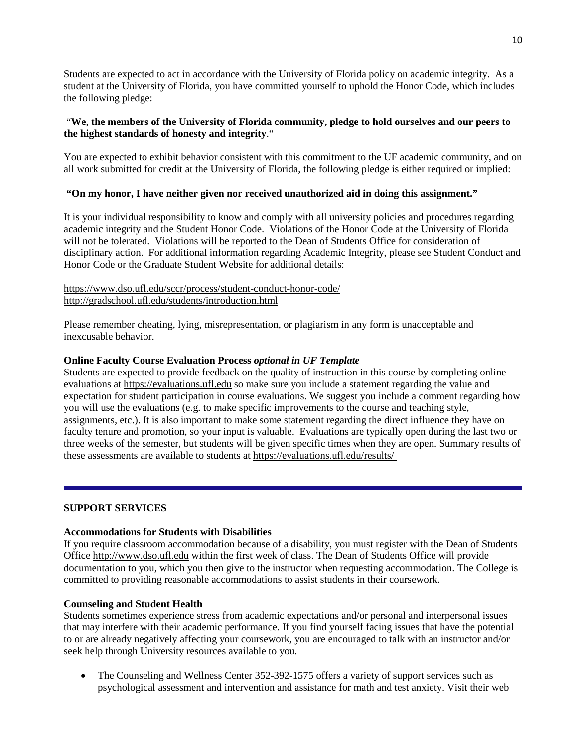Students are expected to act in accordance with the University of Florida policy on academic integrity. As a student at the University of Florida, you have committed yourself to uphold the Honor Code, which includes the following pledge:

# "**We, the members of the University of Florida community, pledge to hold ourselves and our peers to the highest standards of honesty and integrity**."

You are expected to exhibit behavior consistent with this commitment to the UF academic community, and on all work submitted for credit at the University of Florida, the following pledge is either required or implied:

# **"On my honor, I have neither given nor received unauthorized aid in doing this assignment."**

It is your individual responsibility to know and comply with all university policies and procedures regarding academic integrity and the Student Honor Code. Violations of the Honor Code at the University of Florida will not be tolerated. Violations will be reported to the Dean of Students Office for consideration of disciplinary action. For additional information regarding Academic Integrity, please see Student Conduct and Honor Code or the Graduate Student Website for additional details:

# <https://www.dso.ufl.edu/sccr/process/student-conduct-honor-code/> <http://gradschool.ufl.edu/students/introduction.html>

Please remember cheating, lying, misrepresentation, or plagiarism in any form is unacceptable and inexcusable behavior.

# **Online Faculty Course Evaluation Process** *optional in UF Template*

Students are expected to provide feedback on the quality of instruction in this course by completing online evaluations at [https://evaluations.ufl.edu](https://evaluations.ufl.edu/) so make sure you include a statement regarding the value and expectation for student participation in course evaluations. We suggest you include a comment regarding how you will use the evaluations (e.g. to make specific improvements to the course and teaching style, assignments, etc.). It is also important to make some statement regarding the direct influence they have on faculty tenure and promotion, so your input is valuable. Evaluations are typically open during the last two or three weeks of the semester, but students will be given specific times when they are open. Summary results of these assessments are available to students at [https://evaluations.ufl.edu/results/](https://evaluations.ufl.edu/results/ )

## **SUPPORT SERVICES**

## **Accommodations for Students with Disabilities**

If you require classroom accommodation because of a disability, you must register with the Dean of Students Office [http://www.dso.ufl.edu](http://www.dso.ufl.edu/) within the first week of class. The Dean of Students Office will provide documentation to you, which you then give to the instructor when requesting accommodation. The College is committed to providing reasonable accommodations to assist students in their coursework.

## **Counseling and Student Health**

Students sometimes experience stress from academic expectations and/or personal and interpersonal issues that may interfere with their academic performance. If you find yourself facing issues that have the potential to or are already negatively affecting your coursework, you are encouraged to talk with an instructor and/or seek help through University resources available to you.

• The Counseling and Wellness Center 352-392-1575 offers a variety of support services such as psychological assessment and intervention and assistance for math and test anxiety. Visit their web